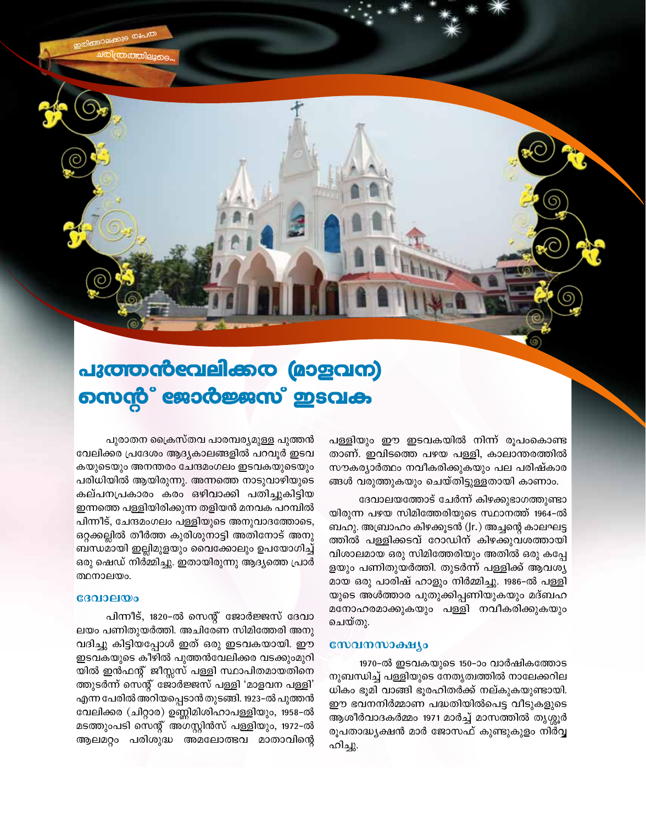പുത്തൻവേലിക്കര (മാളവന) നെൻ്റ് ജോർജ്ജസ് ഇടവക

> പള്ളിയും ഈ ഇടവകയിൽ നിന്ന് രൂപംകൊണ്ട താണ്. ഇവിടത്തെ പഴയ പള്ളി, കാലാന്തരത്തിൽ സൗകര്യാർത്ഥം നവീകരിക്കുകയും പല പരിഷ്കാര ങ്ങൾ വരുത്തുകയും ചെയ്തിട്ടുള്ളതായി കാണാം.

> > ദേവാലയത്തോട് ചേർന്ന് കിഴക്കുഭാഗത്തുണ്ടാ

യിരുന്ന പഴയ സിമിത്തേരിയുടെ സ്ഥാനത്ത് 1964-ൽ ബഹു. അബ്രാഹം കിഴക്കൂടൻ (Jr.) അച്ചന്റെ കാലഘട്ട ത്തിൽ പള്ളിക്കടവ് റോഡിന് കിഴക്കുവശത്തായി വിശാലമായ ഒരു സിമിത്തേരിയും അതിൽ ഒരു കപ്പേ ളയും പണിതുയർത്തി. തുടർന്ന് പള്ളിക്ക് ആവശ്യ മായ ഒരു പാരിഷ് ഹാളും നിർമ്മിച്ചു. 1986-ൽ പള്ളി യുടെ അൾത്താര പുതുക്കിപ്പണിയുകയും മദ്ബഹ മനോഹരമാക്കുകയും പള്ളി നവീകരിക്കുകയും ചെയ്തു.

#### സേവനസാക്ഷ്യം

1970-ൽ ഇടവകയുടെ 150-ാം വാർഷികത്തോട നുബന്ധിച്ച് പള്ളിയുടെ നേതൃത്വത്തിൽ നാലേക്കറില ധികം ഭൂമി വാങ്ങി ഭൂരഹിതർക്ക് നല്കുകയുണ്ടായി. ഈ ഭവനനിർമ്മാണ പദ്ധതിയിൽപെട്ട വീടുകളുടെ ആശീർവാദകർമ്മം 1971 മാർച്ച് മാസത്തിൽ തൃശ്ശൂർ രൂപതാദ്ധ്യക്ഷൻ മാർ ജോസഫ് കുണ്ടുകുളം നിർവ്വ ഹിച്ചു.

പുരാതന ക്രൈസ്തവ പാരമ്പര്യമുള്ള പുത്തൻ

വേലിക്കര പ്രദേശം ആദ്യകാലങ്ങളിൽ പറവൂർ ഇടവ കയുടെയും അനന്തരം ചേന്ദമംഗലം ഇടവകയുടെയും പരിധിയിൽ ആയിരുന്നു. അന്നത്തെ നാടുവാഴിയുടെ കല്പനപ്രകാരം കരം ഒഴിവാക്കി പതിച്ചുകിട്ടിയ ഇന്നത്തെ പള്ളിയിരിക്കുന്ന തളിയൻ മനവക പറമ്പിൽ പിന്നീട്, ചേന്ദമംഗലം പള്ളിയുടെ അനുവാദത്തോടെ, ഒറ്റക്കല്ലിൽ തീർത്ത കുരിശുനാട്ടി അതിനോട് അനു ബന്ധമായി ഇല്ലിമുളയും വൈക്കോലും ഉപയോഗിച്ച് ഒരു ഷെഡ് നിർമ്മിച്ചു. ഇതായിരുന്നു ആദ്യത്തെ പ്രാർ ത്ഥനാലയം.

#### ദേവാലയം

പിന്നീട്, 1820-ൽ സെന്റ് ജോർജ്ജസ് ദേവാ ലയം പണിതുയർത്തി. അചിരേണ സിമിത്തേരി അനു വദിച്ചു കിട്ടിയപ്പോൾ ഇത് ഒരു ഇടവകയായി. ഈ ഇടവകയുടെ കീഴിൽ പുത്തൻവേലിക്കര വടക്കുംമുറി യിൽ ഇൻഫന്റ് ജീസ്സസ് പള്ളി സ്ഥാപിതമായതിനെ ത്തുടർന്ന് സെന്റ് ജോർജ്ജസ് പള്ളി 'മാളവന പള്ളി' എന്ന പേരിൽ അറിയപ്പെടാൻ തുടങ്ങി. 1923–ൽ പുത്തൻ വേലിക്കര (ചിറ്റാര) ഉണ്ണിമിശിഹാപള്ളിയും, 1958-ൽ മടത്തുംപടി സെന്റ് അഗസ്റ്റിൻസ് പള്ളിയും, 1972-ൽ ആലമറ്റം പരിശുദ്ധ അമലോത്ഭവ മാതാവിന്റെ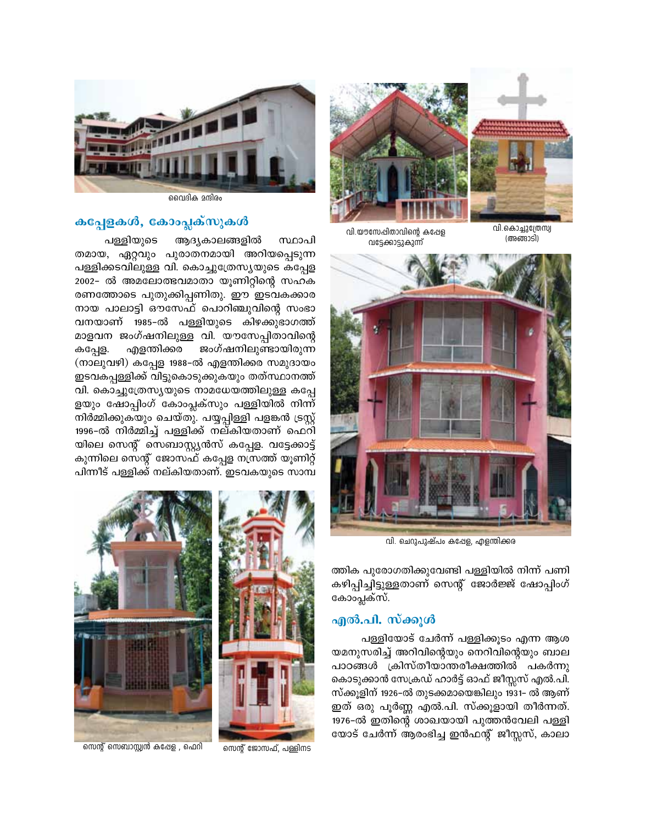

(അങ്ങാടി)





വി. ചെറുപുഷ്പം കഷേള, എളന്തിക്കര

ത്തിക പുരോഗതിക്കുവേണ്ടി പള്ളിയിൽ നിന്ന് പണി കഴിപ്പിച്ചിട്ടുള്ളതാണ് സെന്റ് ജോർജ്ജ് ഷോപ്പിംഗ് കോംപ്ലക്സ്.

### എൽ.പി. സ്ക്കൂൾ

പള്ളിയോട് ചേർന്ന് പള്ളിക്കൂടം എന്ന ആശ യമനുസരിച്ച് അറിവിന്റെയും നെറിവിന്റെയും ബാല പാഠങ്ങൾ ക്രിസ്തീയാന്തരീക്ഷത്തിൽ പകർന്നു കൊടുക്കാൻ സേക്രഡ് ഹാർട്ട് ഓഫ് ജീസ്സസ് എൽ.പി. സ്ക്കൂളിന് 1926–ൽ തുടക്കമായെങ്കിലും 1931– ൽ ആണ് ഇത് ഒരു പൂർണ്ണ എൽ.പി. സ്ക്കൂളായി തീർന്നത്. 1976-ൽ ഇതിന്റെ ശാഖയായി പുത്തൻവേലി പള്ളി യോട് ചേർന്ന് ആരംഭിച്ച ഇൻഫന്റ് ജീസ്സസ്, കാലാ



വൈദിക മന്ദിരം

## കപ്പേളകൾ, കോംപ്ലക്സുകൾ

പള്ളിയുടെ ആദ്യകാലങ്ങളിൽ സ്ഥാപി തമായ, ഏറ്റവും പുരാതനമായി അറിയപ്പെടുന്ന പള്ളിക്കടവിലുള്ള വി. കൊച്ചുത്രേസ്യയുടെ കപ്പേള 2002- ൽ അമലോത്ഭവമാതാ യുണിറ്റിന്റെ സഹക രണത്തോടെ പുതുക്കിപ്പണിതു. ഈ ഇടവകക്കാര നായ പാലാട്ടി ഔസേഫ് പൊറിഞ്ചുവിന്റെ സംഭാ വനയാണ് 1985-ൽ പള്ളിയുടെ കിഴക്കുഭാഗത്ത് മാളവന ജംഗ്ഷനിലുള്ള വി. യൗസേപ്പിതാവിന്റെ എളന്തിക്കര ജംഗ്ഷനിലുണ്ടായിരുന്ന കപ്പേള. (നാലുവഴി) കപ്പേള 1988-ൽ എളന്തിക്കര സമുദായം ഇടവകപ്പള്ളിക്ക് വിട്ടുകൊടുക്കുകയും തത്സ്ഥാനത്ത് വി. കൊച്ചുത്രേസ്യയുടെ നാമധേയത്തിലുള്ള കപ്പേ ളയും ഷോപ്പിംഗ് കോംപ്ലക്സും പള്ളിയിൽ നിന്ന് നിർമ്മിക്കുകയും ചെയ്തു. പയ്യപ്പിള്ളി പളങ്കൻ ട്രസ്റ്റ് 1996-ൽ നിർമ്മിച്ച് പള്ളിക്ക് നല്കിയതാണ് ഫെറി യിലെ സെന്റ് സെബാസ്റ്റ്യൻസ് കപ്പേള. വട്ടേക്കാട്ട് കുന്നിലെ സെന്റ് ജോസഫ് കപ്പേള നസ്രത്ത് യൂണിറ്റ് പിന്നീട് പള്ളിക്ക് നല്കിയതാണ്. ഇടവകയുടെ സാമ്പ



സെന്റ് ജോസഫ്, പള്ളിനട

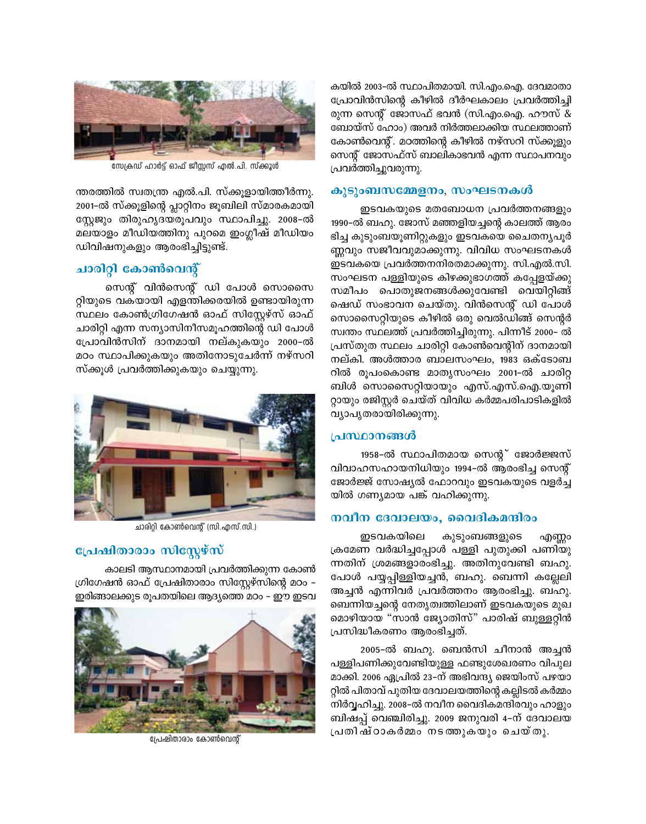കയിൽ 2003-ൽ സ്ഥാപിതമായി. സി.എം.ഐ. ദേവമാതാ പ്രോവിൻസിന്റെ കീഴിൽ ദീർഘകാലം പ്രവർത്തിച്ചി രുന്ന സെന്റ് ജോസഫ് ഭവൻ (സി.എം.ഐ. ഹൗസ് & ബോയ്സ് ഹോം) അവർ നിർത്തലാക്കിയ സ്ഥലത്താണ് കോൺവെന്റ്. മഠത്തിന്റെ കീഴിൽ നഴ്സറി സ്ക്കൂളും സെന്റ് ജോസഫ്സ് ബാലികാഭവൻ എന്ന സ്ഥാപനവും പ്രവർത്തിച്ചുവരുന്നു.

### കൂടുംബസമ്മേളനം, സംഘടനകൾ

ഇടവകയുടെ മതബോധന പ്രവർത്തനങ്ങളും 1990–ൽ ബഹു. ജോസ് മഞ്ഞളിയച്ചന്റെ കാലത്ത് ആരം ഭിച്ച കുടുംബയൂണിറ്റുകളും ഇടവകയെ ചൈതനൃപൂർ ണ്ണവും സജീവവുമാക്കുന്നു. വിവിധ സംഘടനകൾ ഇടവകയെ പ്രവർത്തനനിരതമാക്കുന്നു. സി.എൽ.സി. സംഘടന പള്ളിയുടെ കിഴക്കുഭാഗത്ത് കപ്പേളയ്ക്കു സമീപം പൊതുജനങ്ങൾക്കുവേണ്ടി വെയിറ്റിങ്ങ് ഷെഡ് സംഭാവന ചെയ്തു. വിൻസെന്റ് ഡി പോൾ സൊസൈറ്റിയുടെ കീഴിൽ ഒരു വെൽഡിങ്ങ് സെന്റർ സ്വന്തം സ്ഥലത്ത് പ്രവർത്തിച്ചിരുന്നു. പിന്നീട് 2000– ൽ പ്രസ്തുത സ്ഥലം ചാരിറ്റി കോൺവെന്റിന് ദാനമായി നല്കി. അൾത്താര ബാലസംഘം, 1983 ഒക്ടോബ റിൽ രൂപംകൊണ്ട മാതൃസംഘം 2001-ൽ ചാരിറ്റ ബിൾ സൊസൈറ്റിയായും എസ്.എസ്.ഐ.യൂണി റ്റായും രജിസ്റ്റർ ചെയ്ത് വിവിധ കർമ്മപരിപാടികളിൽ വ്യാപൃതരായിരിക്കുന്നു.

### പ്രസ്ഥാനങ്ങൾ

1958-ൽ സ്ഥാപിതമായ സെന്റ് ജോർജ്ജസ് വിവാഹസഹായനിധിയും 1994-ൽ ആരംഭിച്ച സെന്റ് ജോർജ്ജ് സോഷ്യൽ ഫോറവും ഇടവകയുടെ വളർച്ച യിൽ ഗണ്യമായ പങ്ക് വഹിക്കുന്നു.

### നവീന ദേവാലയം, വൈദികമന്ദിരം

ഇടവകയിലെ കുടുംബങ്ങളുടെ എണ്ണം ക്രമേണ വർദ്ധിച്ചപ്പോൾ പള്ളി പുതുക്കി പണിയു ന്നതിന് ശ്രമങ്ങളാരംഭിച്ചു. അതിനുവേണ്ടി ബഹു. പോൾ പയ്യപ്പിള്ളിയച്ചൻ, ബഹു. ബെന്നി കല്ലേലി അച്ചൻ എന്നിവർ പ്രവർത്തനം ആരംഭിച്ചു. ബഹു. ബെന്നിയച്ചന്റെ നേതൃത്വത്തിലാണ് ഇടവകയുടെ മുഖ മൊഴിയായ "സാൻ ജ്യോതിസ്" പാരിഷ് ബുള്ളറ്റിൻ പ്രസിദ്ധീകരണം ആരംഭിച്ചത്.

2005-ൽ ബഹു. ബെൻസി ചീനാൻ അച്ചൻ പള്ളിപണിക്കുവേണ്ടിയുള്ള ഫണ്ടുശേഖരണം വിപുല മാക്കി. 2006 ഏപ്രിൽ 23–ന് അഭിവന്ദ്യ ജെയിംസ് പഴയാ റ്റിൽ പിതാവ് പുതിയ ദേവാലയത്തിന്റെ കല്ലിടൽ കർമ്മം നിർവ്വഹിച്ചു. 2008-ൽ നവീന വൈദികമന്ദിരവും ഹാളും ബിഷപ്പ് വെഞ്ചിരിച്ചു. 2009 ജനുവരി 4–ന് ദേവാലയ പ്രതിഷ്ഠാകർമ്മം നടത്തുകയും ചെയ്തു.



സേക്രഡ് ഹാർട്ട് ഓഫ് ജീസ്സസ് എൽ.പി. സ്ക്കൂൾ

ന്തരത്തിൽ സ്വതന്ത്ര എൽ.പി. സ്ക്കുളായിത്തീർന്നു. 2001–ൽ സ്ക്കൂളിന്റെ പ്ലാറ്റിനം ജൂബിലി സ്മാരകമായി സ്റ്റേജും തിരുഹൃദയരൂപവും സ്ഥാപിച്ചു. 2008-ൽ മലയാളം മീഡിയത്തിനു പുറമെ ഇംഗ്ലീഷ് മീഡിയം ഡിവിഷനുകളും ആരംഭിച്ചിട്ടുണ്ട്.

### ചാരിറ്റി കോൺവെന്റ്

സെന്റ് വിൻസെന്റ് ഡി പോൾ സൊസൈ റ്റിയുടെ വകയായി എളന്തിക്കരയിൽ ഉണ്ടായിരുന്ന സ്ഥലം കോൺഗ്രിഗേഷൻ ഓഫ് സിസ്റ്റേഴ്സ് ഓഫ് ചാരിറ്റി എന്ന സന്യാസിനീസമൂഹത്തിന്റെ ഡി പോൾ പ്രോവിൻസിന് ദാനമായി നല്കുകയും 2000-ൽ മഠം സ്ഥാപിക്കുകയും അതിനോടുചേർന്ന് നഴ്സറി സ്ക്കൂൾ പ്രവർത്തിക്കുകയും ചെയ്യുന്നു.



ചാരിറ്റി കോൺവെന്റ് (സി.എസ്.സി.)

## പ്രേഷിതാരാം സിസ്റ്റേഴ്സ്

കാലടി ആസ്ഥാനമായി പ്രവർത്തിക്കുന്ന കോൺ ഗ്രിഗേഷൻ ഓഫ് പ്രേഷിതാരാം സിസ്റ്റേഴ്സിന്റെ മഠം – ഇരിങ്ങാലക്കുട രൂപതയിലെ ആദ്യത്തെ മഠം – ഈ ഇടവ



പ്രേഷിതാരാം കോൺവെന്റ്